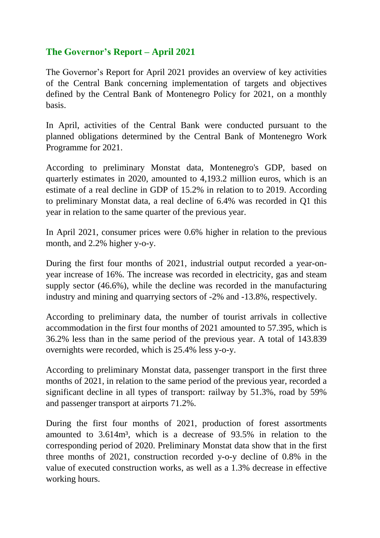## **The Governor's Report – April 2021**

The Governor's Report for April 2021 provides an overview of key activities of the Central Bank concerning implementation of targets and objectives defined by the Central Bank of Montenegro Policy for 2021, on a monthly basis.

In April, activities of the Central Bank were conducted pursuant to the planned obligations determined by the Central Bank of Montenegro Work Programme for 2021.

According to preliminary Monstat data, Montenegro's GDP, based on quarterly estimates in 2020, amounted to 4,193.2 million euros, which is an estimate of a real decline in GDP of 15.2% in relation to to 2019. According to preliminary Monstat data, a real decline of 6.4% was recorded in Q1 this year in relation to the same quarter of the previous year.

In April 2021, consumer prices were 0.6% higher in relation to the previous month, and 2.2% higher y-o-y.

During the first four months of 2021, industrial output recorded a year-onyear increase of 16%. The increase was recorded in electricity, gas and steam supply sector (46.6%), while the decline was recorded in the manufacturing industry and mining and quarrying sectors of -2% and -13.8%, respectively.

According to preliminary data, the number of tourist arrivals in collective accommodation in the first four months of 2021 amounted to 57.395, which is 36.2% less than in the same period of the previous year. A total of 143.839 overnights were recorded, which is 25.4% less y-o-y.

According to preliminary Monstat data, passenger transport in the first three months of 2021, in relation to the same period of the previous year, recorded a significant decline in all types of transport: railway by 51.3%, road by 59% and passenger transport at airports 71.2%.

During the first four months of 2021, production of forest assortments amounted to 3.614m³, which is a decrease of 93.5% in relation to the corresponding period of 2020. Preliminary Monstat data show that in the first three months of 2021, construction recorded y-o-y decline of 0.8% in the value of executed construction works, as well as a 1.3% decrease in effective working hours.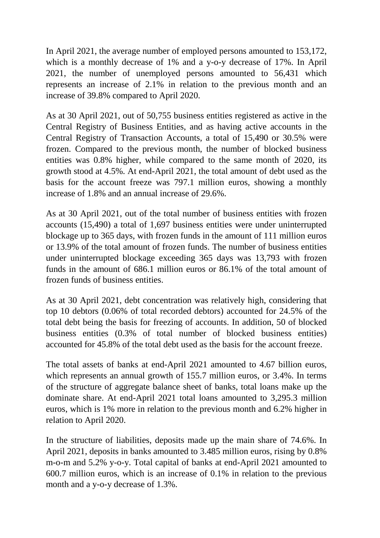In April 2021, the average number of employed persons amounted to 153,172, which is a monthly decrease of 1% and a y-o-y decrease of 17%. In April 2021, the number of unemployed persons amounted to 56,431 which represents an increase of 2.1% in relation to the previous month and an increase of 39.8% compared to April 2020.

As at 30 April 2021, out of 50,755 business entities registered as active in the Central Registry of Business Entities, and as having active accounts in the Central Registry of Transaction Accounts, a total of 15,490 or 30.5% were frozen. Compared to the previous month, the number of blocked business entities was 0.8% higher, while compared to the same month of 2020, its growth stood at 4.5%. At end-April 2021, the total amount of debt used as the basis for the account freeze was 797.1 million euros, showing a monthly increase of 1.8% and an annual increase of 29.6%.

As at 30 April 2021, out of the total number of business entities with frozen accounts (15,490) a total of 1,697 business entities were under uninterrupted blockage up to 365 days, with frozen funds in the amount of 111 million euros or 13.9% of the total amount of frozen funds. The number of business entities under uninterrupted blockage exceeding 365 days was 13,793 with frozen funds in the amount of 686.1 million euros or 86.1% of the total amount of frozen funds of business entities.

As at 30 April 2021, debt concentration was relatively high, considering that top 10 debtors (0.06% of total recorded debtors) accounted for 24.5% of the total debt being the basis for freezing of accounts. In addition, 50 of blocked business entities (0.3% of total number of blocked business entities) accounted for 45.8% of the total debt used as the basis for the account freeze.

The total assets of banks at end-April 2021 amounted to 4.67 billion euros, which represents an annual growth of 155.7 million euros, or 3.4%. In terms of the structure of aggregate balance sheet of banks, total loans make up the dominate share. At end-April 2021 total loans amounted to 3,295.3 million euros, which is 1% more in relation to the previous month and 6.2% higher in relation to April 2020.

In the structure of liabilities, deposits made up the main share of 74.6%. In April 2021, deposits in banks amounted to 3.485 million euros, rising by 0.8% m-o-m and 5.2% y-o-y. Total capital of banks at end-April 2021 amounted to 600.7 million euros, which is an increase of 0.1% in relation to the previous month and a y-o-y decrease of 1.3%.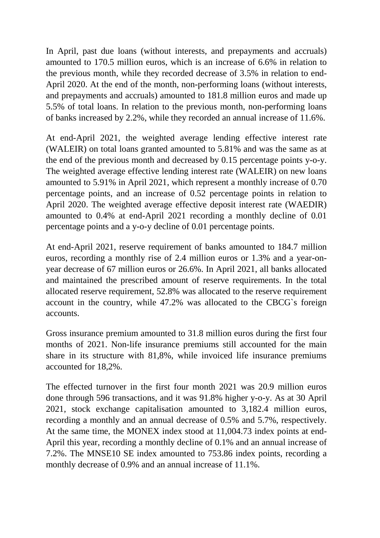In April, past due loans (without interests, and prepayments and accruals) amounted to 170.5 million euros, which is an increase of 6.6% in relation to the previous month, while they recorded decrease of 3.5% in relation to end-April 2020. At the end of the month, non-performing loans (without interests, and prepayments and accruals) amounted to 181.8 million euros and made up 5.5% of total loans. In relation to the previous month, non-performing loans of banks increased by 2.2%, while they recorded an annual increase of 11.6%.

At end-April 2021, the weighted average lending effective interest rate (WALEIR) on total loans granted amounted to 5.81% and was the same as at the end of the previous month and decreased by 0.15 percentage points y-o-y. The weighted average effective lending interest rate (WALEIR) on new loans amounted to 5.91% in April 2021, which represent a monthly increase of 0.70 percentage points, and an increase of 0.52 percentage points in relation to April 2020. The weighted average effective deposit interest rate (WAEDIR) amounted to 0.4% at end-April 2021 recording a monthly decline of 0.01 percentage points and a y-o-y decline of 0.01 percentage points.

At end-April 2021, reserve requirement of banks amounted to 184.7 million euros, recording a monthly rise of 2.4 million euros or 1.3% and a year-onyear decrease of 67 million euros or 26.6%. In April 2021, all banks allocated and maintained the prescribed amount of reserve requirements. In the total allocated reserve requirement, 52.8% was allocated to the reserve requirement account in the country, while 47.2% was allocated to the CBCG`s foreign accounts.

Gross insurance premium amounted to 31.8 million euros during the first four months of 2021. Non-life insurance premiums still accounted for the main share in its structure with 81,8%, while invoiced life insurance premiums accounted for 18,2%.

The effected turnover in the first four month 2021 was 20.9 million euros done through 596 transactions, and it was 91.8% higher y-o-y. As at 30 April 2021, stock exchange capitalisation amounted to 3,182.4 million euros, recording a monthly and an annual decrease of 0.5% and 5.7%, respectively. At the same time, the MONEX index stood at 11,004.73 index points at end-April this year, recording a monthly decline of 0.1% and an annual increase of 7.2%. The MNSE10 SE index amounted to 753.86 index points, recording a monthly decrease of 0.9% and an annual increase of 11.1%.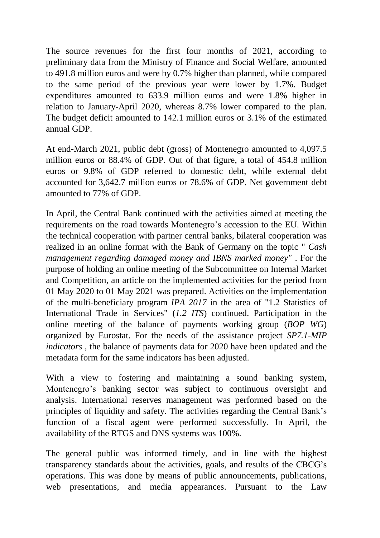The source revenues for the first four months of 2021, according to preliminary data from the Ministry of Finance and Social Welfare, amounted to 491.8 million euros and were by 0.7% higher than planned, while compared to the same period of the previous year were lower by 1.7%. Budget expenditures amounted to 633.9 million euros and were 1.8% higher in relation to January-April 2020, whereas 8.7% lower compared to the plan. The budget deficit amounted to 142.1 million euros or 3.1% of the estimated annual GDP.

At end-March 2021, public debt (gross) of Montenegro amounted to 4,097.5 million euros or 88.4% of GDP. Out of that figure, a total of 454.8 million euros or 9.8% of GDP referred to domestic debt, while external debt accounted for 3,642.7 million euros or 78.6% of GDP. Net government debt amounted to 77% of GDP.

In April, the Central Bank continued with the activities aimed at meeting the requirements on the road towards Montenegro's accession to the EU. Within the technical cooperation with partner central banks, bilateral cooperation was realized in an online format with the Bank of Germany on the topic " *Cash management regarding damaged money and IBNS marked money"* . For the purpose of holding an online meeting of the Subcommittee on Internal Market and Competition, an article on the implemented activities for the period from 01 May 2020 to 01 May 2021 was prepared. Activities on the implementation of the multi-beneficiary program *IPA 2017* in the area of "1.2 Statistics of International Trade in Services" (*1.2 ITS*) continued. Participation in the online meeting of the balance of payments working group (*BOP WG*) organized by Eurostat. For the needs of the assistance project *SP7.1-MIP indicators* , the balance of payments data for 2020 have been updated and the metadata form for the same indicators has been adjusted.

With a view to fostering and maintaining a sound banking system, Montenegro's banking sector was subject to continuous oversight and analysis. International reserves management was performed based on the principles of liquidity and safety. The activities regarding the Central Bank's function of a fiscal agent were performed successfully. In April, the availability of the RTGS and DNS systems was 100%.

The general public was informed timely, and in line with the highest transparency standards about the activities, goals, and results of the CBCG's operations. This was done by means of public announcements, publications, web presentations, and media appearances. Pursuant to the Law